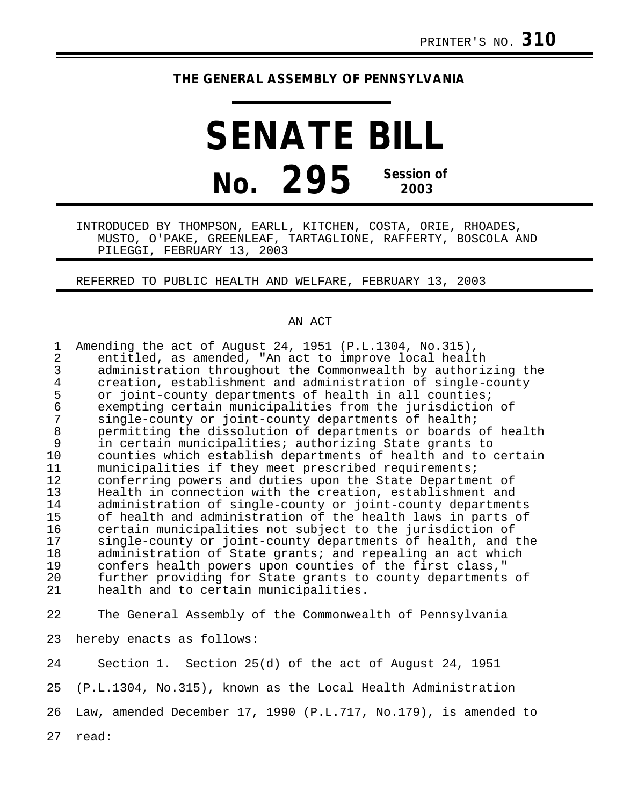## **THE GENERAL ASSEMBLY OF PENNSYLVANIA**

## **SENATE BILL No. 295 Session of 2003**

INTRODUCED BY THOMPSON, EARLL, KITCHEN, COSTA, ORIE, RHOADES, MUSTO, O'PAKE, GREENLEAF, TARTAGLIONE, RAFFERTY, BOSCOLA AND PILEGGI, FEBRUARY 13, 2003

REFERRED TO PUBLIC HEALTH AND WELFARE, FEBRUARY 13, 2003

## AN ACT

| $\mathbf 1$    | Amending the act of August 24, 1951 (P.L.1304, No.315),       |
|----------------|---------------------------------------------------------------|
| $\overline{2}$ | entitled, as amended, "An act to improve local health         |
| 3              | administration throughout the Commonwealth by authorizing the |
| $\overline{4}$ | creation, establishment and administration of single-county   |
| 5              | or joint-county departments of health in all counties;        |
| $\epsilon$     | exempting certain municipalities from the jurisdiction of     |
| 7              | single-county or joint-county departments of health;          |
| $\,8\,$        | permitting the dissolution of departments or boards of health |
| 9              | in certain municipalities; authorizing State grants to        |
| 10             | counties which establish departments of health and to certain |
| 11             | municipalities if they meet prescribed requirements;          |
| 12             | conferring powers and duties upon the State Department of     |
| 13             | Health in connection with the creation, establishment and     |
| 14             | administration of single-county or joint-county departments   |
| 15             | of health and administration of the health laws in parts of   |
| 16             | certain municipalities not subject to the jurisdiction of     |
| 17             | single-county or joint-county departments of health, and the  |
| 18             | administration of State grants; and repealing an act which    |
| 19             | confers health powers upon counties of the first class,"      |
| 20             | further providing for State grants to county departments of   |
| 21             | health and to certain municipalities.                         |
|                |                                                               |
| 22             | The General Assembly of the Commonwealth of Pennsylvania      |
|                |                                                               |
| 23             | hereby enacts as follows:                                     |
| 24             | Section 1. Section 25(d) of the act of August 24, 1951        |

25 (P.L.1304, No.315), known as the Local Health Administration 26 Law, amended December 17, 1990 (P.L.717, No.179), is amended to

27 read: